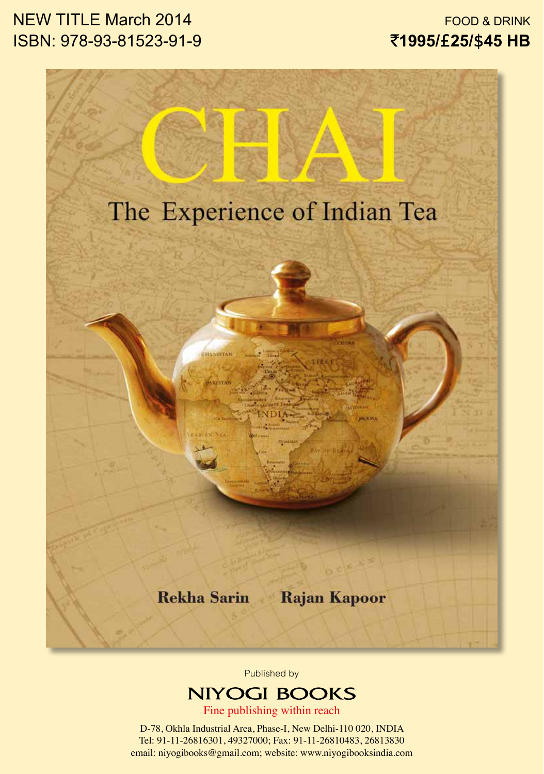NEW TITLE March 2014 ISBN: 978-93-81523-91-9

FOOD & DRINK `**1995/**£**25/**\$**45 HB**



Published by

## **NIYOGI BOOKS**

Fine publishing within reach

D-78, Okhla Industrial Area, Phase-I, New Delhi-110 020, INDIA Tel: 91-11-26816301, 49327000; Fax: 91-11-26810483, 26813830 email: niyogibooks@gmail.com; website: www.niyogibooksindia.com